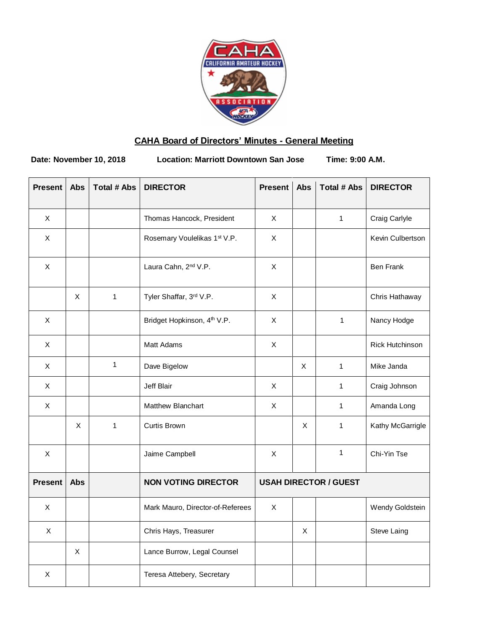

## **CAHA Board of Directors' Minutes - General Meeting**

**Date: November 10, 2018 Location: Marriott Downtown San Jose Time: 9:00 A.M.**

| <b>Present</b>            | Abs            | <b>Total # Abs</b> | <b>DIRECTOR</b>                         | <b>Present</b>               | Abs | <b>Total # Abs</b> | <b>DIRECTOR</b>        |
|---------------------------|----------------|--------------------|-----------------------------------------|------------------------------|-----|--------------------|------------------------|
| $\mathsf{X}$              |                |                    | Thomas Hancock, President               | X                            |     | $\mathbf{1}$       | Craig Carlyle          |
| $\pmb{\times}$            |                |                    | Rosemary Voulelikas 1st V.P.            | $\pmb{\times}$               |     |                    | Kevin Culbertson       |
| $\boldsymbol{\mathsf{X}}$ |                |                    | Laura Cahn, 2 <sup>nd</sup> V.P.        | X                            |     |                    | <b>Ben Frank</b>       |
|                           | $\pmb{\times}$ | $\mathbf{1}$       | Tyler Shaffar, 3rd V.P.                 | $\mathsf X$                  |     |                    | Chris Hathaway         |
| $\pmb{\times}$            |                |                    | Bridget Hopkinson, 4 <sup>th</sup> V.P. | $\mathsf X$                  |     | 1                  | Nancy Hodge            |
| X                         |                |                    | Matt Adams                              | $\mathsf X$                  |     |                    | <b>Rick Hutchinson</b> |
| X                         |                | $\mathbf{1}$       | Dave Bigelow                            |                              | X   | $\mathbf{1}$       | Mike Janda             |
| $\mathsf X$               |                |                    | Jeff Blair                              | $\mathsf X$                  |     | $\mathbf{1}$       | Craig Johnson          |
| X                         |                |                    | Matthew Blanchart                       | $\pmb{\times}$               |     | $\mathbf{1}$       | Amanda Long            |
|                           | X              | $\mathbf{1}$       | Curtis Brown                            |                              | X   | 1                  | Kathy McGarrigle       |
| $\pmb{\times}$            |                |                    | Jaime Campbell                          | X                            |     | $\mathbf{1}$       | Chi-Yin Tse            |
| <b>Present</b>            | <b>Abs</b>     |                    | <b>NON VOTING DIRECTOR</b>              | <b>USAH DIRECTOR / GUEST</b> |     |                    |                        |
| $\boldsymbol{\mathsf{X}}$ |                |                    | Mark Mauro, Director-of-Referees        | $\pmb{\times}$               |     |                    | Wendy Goldstein        |
| Χ                         |                |                    | Chris Hays, Treasurer                   |                              | X   |                    | Steve Laing            |
|                           | $\mathsf X$    |                    | Lance Burrow, Legal Counsel             |                              |     |                    |                        |
| Χ                         |                |                    | Teresa Attebery, Secretary              |                              |     |                    |                        |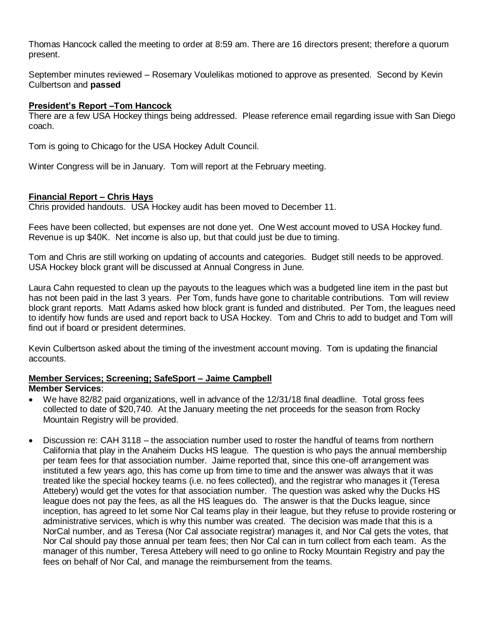Thomas Hancock called the meeting to order at 8:59 am. There are 16 directors present; therefore a quorum present.

September minutes reviewed – Rosemary Voulelikas motioned to approve as presented. Second by Kevin Culbertson and **passed**

## **President's Report –Tom Hancock**

There are a few USA Hockey things being addressed. Please reference email regarding issue with San Diego coach.

Tom is going to Chicago for the USA Hockey Adult Council.

Winter Congress will be in January. Tom will report at the February meeting.

## **Financial Report – Chris Hays**

Chris provided handouts. USA Hockey audit has been moved to December 11.

Fees have been collected, but expenses are not done yet. One West account moved to USA Hockey fund. Revenue is up \$40K. Net income is also up, but that could just be due to timing.

Tom and Chris are still working on updating of accounts and categories. Budget still needs to be approved. USA Hockey block grant will be discussed at Annual Congress in June.

Laura Cahn requested to clean up the payouts to the leagues which was a budgeted line item in the past but has not been paid in the last 3 years. Per Tom, funds have gone to charitable contributions. Tom will review block grant reports. Matt Adams asked how block grant is funded and distributed. Per Tom, the leagues need to identify how funds are used and report back to USA Hockey. Tom and Chris to add to budget and Tom will find out if board or president determines.

Kevin Culbertson asked about the timing of the investment account moving. Tom is updating the financial accounts.

# **Member Services; Screening; SafeSport – Jaime Campbell**

## **Member Services**:

- We have 82/82 paid organizations, well in advance of the 12/31/18 final deadline. Total gross fees collected to date of \$20,740. At the January meeting the net proceeds for the season from Rocky Mountain Registry will be provided.
- Discussion re: CAH 3118 the association number used to roster the handful of teams from northern California that play in the Anaheim Ducks HS league. The question is who pays the annual membership per team fees for that association number. Jaime reported that, since this one-off arrangement was instituted a few years ago, this has come up from time to time and the answer was always that it was treated like the special hockey teams (i.e. no fees collected), and the registrar who manages it (Teresa Attebery) would get the votes for that association number. The question was asked why the Ducks HS league does not pay the fees, as all the HS leagues do. The answer is that the Ducks league, since inception, has agreed to let some Nor Cal teams play in their league, but they refuse to provide rostering or administrative services, which is why this number was created. The decision was made that this is a NorCal number, and as Teresa (Nor Cal associate registrar) manages it, and Nor Cal gets the votes, that Nor Cal should pay those annual per team fees; then Nor Cal can in turn collect from each team. As the manager of this number, Teresa Attebery will need to go online to Rocky Mountain Registry and pay the fees on behalf of Nor Cal, and manage the reimbursement from the teams.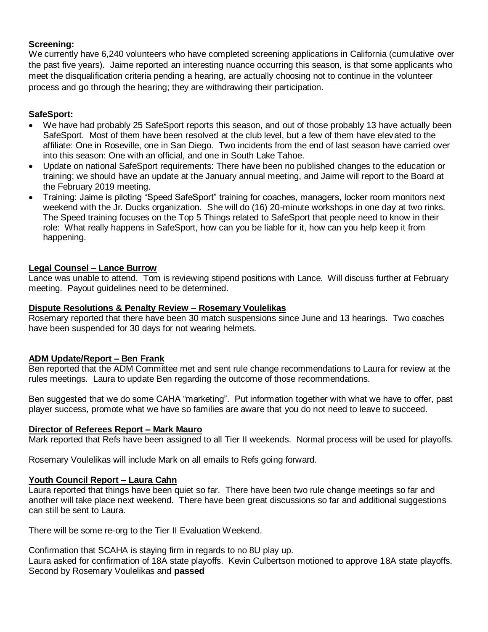## **Screening:**

We currently have 6,240 volunteers who have completed screening applications in California (cumulative over the past five years). Jaime reported an interesting nuance occurring this season, is that some applicants who meet the disqualification criteria pending a hearing, are actually choosing not to continue in the volunteer process and go through the hearing; they are withdrawing their participation.

## **SafeSport:**

- We have had probably 25 SafeSport reports this season, and out of those probably 13 have actually been SafeSport. Most of them have been resolved at the club level, but a few of them have elevated to the affiliate: One in Roseville, one in San Diego. Two incidents from the end of last season have carried over into this season: One with an official, and one in South Lake Tahoe.
- Update on national SafeSport requirements: There have been no published changes to the education or training; we should have an update at the January annual meeting, and Jaime will report to the Board at the February 2019 meeting.
- Training: Jaime is piloting "Speed SafeSport" training for coaches, managers, locker room monitors next weekend with the Jr. Ducks organization. She will do (16) 20-minute workshops in one day at two rinks. The Speed training focuses on the Top 5 Things related to SafeSport that people need to know in their role: What really happens in SafeSport, how can you be liable for it, how can you help keep it from happening.

## **Legal Counsel – Lance Burrow**

Lance was unable to attend. Tom is reviewing stipend positions with Lance. Will discuss further at February meeting. Payout guidelines need to be determined.

#### **Dispute Resolutions & Penalty Review – Rosemary Voulelikas**

Rosemary reported that there have been 30 match suspensions since June and 13 hearings. Two coaches have been suspended for 30 days for not wearing helmets.

## **ADM Update/Report – Ben Frank**

Ben reported that the ADM Committee met and sent rule change recommendations to Laura for review at the rules meetings. Laura to update Ben regarding the outcome of those recommendations.

Ben suggested that we do some CAHA "marketing". Put information together with what we have to offer, past player success, promote what we have so families are aware that you do not need to leave to succeed.

#### **Director of Referees Report – Mark Mauro**

Mark reported that Refs have been assigned to all Tier II weekends. Normal process will be used for playoffs.

Rosemary Voulelikas will include Mark on all emails to Refs going forward.

#### **Youth Council Report – Laura Cahn**

Laura reported that things have been quiet so far. There have been two rule change meetings so far and another will take place next weekend. There have been great discussions so far and additional suggestions can still be sent to Laura.

There will be some re-org to the Tier II Evaluation Weekend.

Confirmation that SCAHA is staying firm in regards to no 8U play up.

Laura asked for confirmation of 18A state playoffs. Kevin Culbertson motioned to approve 18A state playoffs. Second by Rosemary Voulelikas and **passed**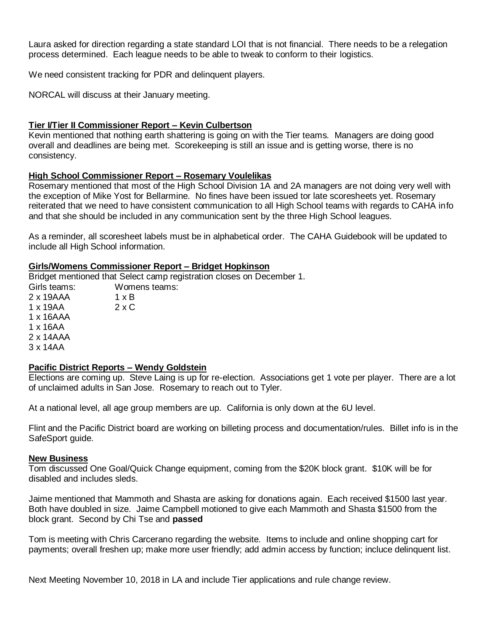Laura asked for direction regarding a state standard LOI that is not financial. There needs to be a relegation process determined. Each league needs to be able to tweak to conform to their logistics.

We need consistent tracking for PDR and delinquent players.

NORCAL will discuss at their January meeting.

#### **Tier I/Tier II Commissioner Report – Kevin Culbertson**

Kevin mentioned that nothing earth shattering is going on with the Tier teams. Managers are doing good overall and deadlines are being met. Scorekeeping is still an issue and is getting worse, there is no consistency.

#### **High School Commissioner Report – Rosemary Voulelikas**

Rosemary mentioned that most of the High School Division 1A and 2A managers are not doing very well with the exception of Mike Yost for Bellarmine. No fines have been issued tor late scoresheets yet. Rosemary reiterated that we need to have consistent communication to all High School teams with regards to CAHA info and that she should be included in any communication sent by the three High School leagues.

As a reminder, all scoresheet labels must be in alphabetical order. The CAHA Guidebook will be updated to include all High School information.

#### **Girls/Womens Commissioner Report – Bridget Hopkinson**

Bridget mentioned that Select camp registration closes on December 1.

Girls teams: Womens teams:  $2 \times 19AAA$   $1 \times B$  $1 \times 19AA$   $2 \times C$ 1 x 16AAA 1 x 16AA 2 x 14AAA 3 x 14AA

#### **Pacific District Reports – Wendy Goldstein**

Elections are coming up. Steve Laing is up for re-election. Associations get 1 vote per player. There are a lot of unclaimed adults in San Jose. Rosemary to reach out to Tyler.

At a national level, all age group members are up. California is only down at the 6U level.

Flint and the Pacific District board are working on billeting process and documentation/rules. Billet info is in the SafeSport guide.

#### **New Business**

Tom discussed One Goal/Quick Change equipment, coming from the \$20K block grant. \$10K will be for disabled and includes sleds.

Jaime mentioned that Mammoth and Shasta are asking for donations again. Each received \$1500 last year. Both have doubled in size. Jaime Campbell motioned to give each Mammoth and Shasta \$1500 from the block grant. Second by Chi Tse and **passed**

Tom is meeting with Chris Carcerano regarding the website. Items to include and online shopping cart for payments; overall freshen up; make more user friendly; add admin access by function; incluce delinquent list.

Next Meeting November 10, 2018 in LA and include Tier applications and rule change review.